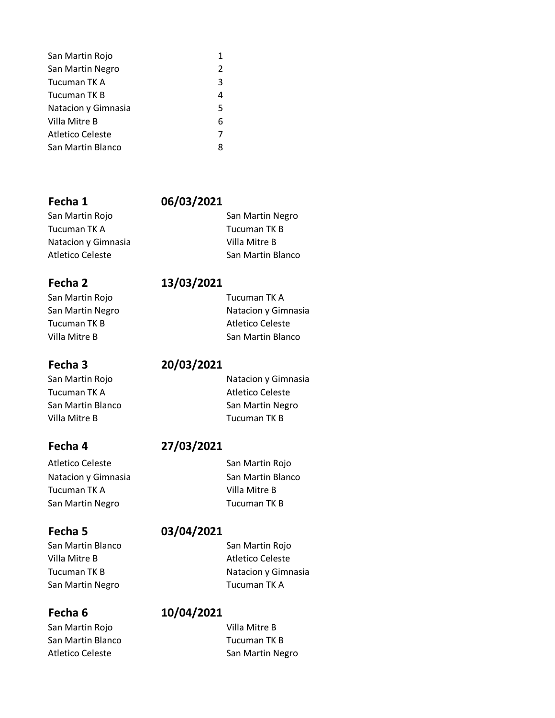| San Martin Rojo     | 1             |
|---------------------|---------------|
| San Martin Negro    | $\mathcal{P}$ |
| Tucuman TK A        | 3             |
| Tucuman TK B        | 4             |
| Natacion y Gimnasia | 5             |
| Villa Mitre B       | 6             |
| Atletico Celeste    | 7             |
| San Martin Blanco   | 8             |

### **Fecha 1 06/03/2021**

San Martin Rojo **San Martin Negro** San Martin Negro Tucuman TK A Tucuman TK B Natacion y Gimnasia **Villa Mitre B** Atletico Celeste **San Martin Blanco** San Martin Blanco

# San Martin Rojo **Tucuman TK A** Tucuman TK B Atletico Celeste

Tucuman TK A Atletico Celeste Villa Mitre B Tucuman TK B

Atletico Celeste **San Martin Rojo** San Martin Rojo Natacion y Gimnasia San Martin Blanco Tucuman TK A Villa Mitre B San Martin Negro Tucuman TK B

### **Fecha 5 03/04/2021**

San Martin Blanco San Martin Rojo Villa Mitre B Atletico Celeste Tucuman TK B Natacion y Gimnasia San Martin Negro **Tucuman TK A** 

# **Fecha 6 10/04/2021**

San Martin Rojo **Villa Mitre B** San Martin Blanco **Tucuman TK B** Atletico Celeste **San Martin Negro** San Martin Negro

### **Fecha 2 13/03/2021**

San Martin Negro Natacion y Gimnasia Villa Mitre B San Martin Blanco

### **Fecha 3 20/03/2021**

San Martin Rojo Natacion y Gimnasia San Martin Blanco San Martin Negro

# **Fecha 4 27/03/2021**